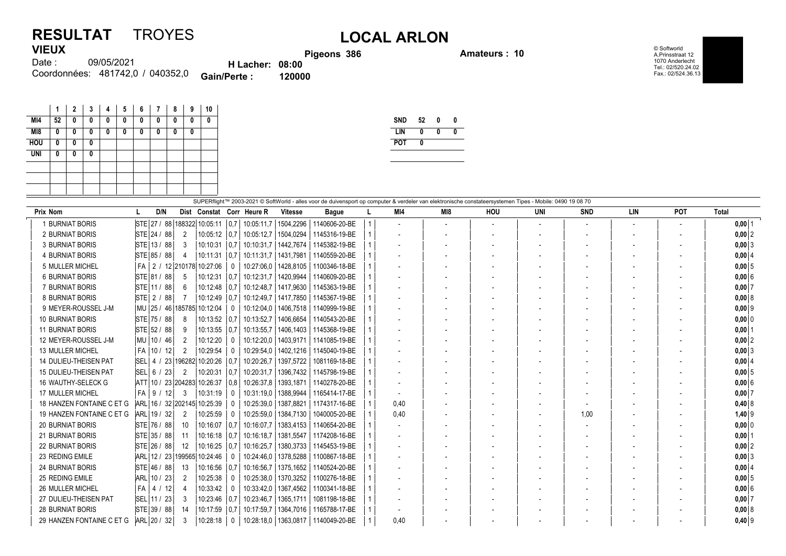## **RESULTAT** TROYES **LOCAL ARLON VIEUX**

**Pigeons 386 Amateurs : 10**

© Softworld A.Prinsstraat 12 1070 Anderlecht Tel.: 02/520.24.02 Fax.: 02/524.36.13

09/05/2021 481742,0 / 040352,0 Coordonnées: **Gain/Perte : 120000** Date : **H Lacher: 08:00**

|            | 1  | $\overline{2}$ | 3 | 4 | 5 | 6 | 7 | 8 | 9 | 10 |
|------------|----|----------------|---|---|---|---|---|---|---|----|
| MI4        | 52 | 0              | 0 | 0 | 0 | 0 | 0 | 0 | 0 | 0  |
| M18        | 0  | 0              | 0 | 0 | 0 | 0 | 0 | 0 | 0 |    |
| <b>HOU</b> | 0  | 0              | 0 |   |   |   |   |   |   |    |
| <b>UNI</b> | 0  | 0              | 0 |   |   |   |   |   |   |    |
|            |    |                |   |   |   |   |   |   |   |    |
|            |    |                |   |   |   |   |   |   |   |    |
|            |    |                |   |   |   |   |   |   |   |    |

| <b>SND</b> | 52 | 0 |  |
|------------|----|---|--|
| I IN       | Λ  | N |  |
| POT        | Λ  |   |  |
|            |    |   |  |

|                              | SUPERflight™ 2003-2021 © SoftWorld - alles voor de duivensport op computer & verdeler van elektronische constateersystemen Tipes - Mobile: 0490 19 08 70 |                             |                   |                             |                |               |  |      |                |                          |     |            |            |                          |              |
|------------------------------|----------------------------------------------------------------------------------------------------------------------------------------------------------|-----------------------------|-------------------|-----------------------------|----------------|---------------|--|------|----------------|--------------------------|-----|------------|------------|--------------------------|--------------|
| Prix Nom                     | D/N                                                                                                                                                      | Dist Constat Corr Heure R   |                   |                             | <b>Vitesse</b> | <b>Bague</b>  |  | MI4  | MI8            | HOU                      | UNI | <b>SND</b> | <b>LIN</b> | POT                      | <b>Total</b> |
| 1 BURNIAT BORIS              | STE 27 / 88 188322 10:05:11                                                                                                                              |                             | $\vert 0.7 \vert$ | 10:05:11,7                  | 1504,2296      | 1140606-20-BE |  |      | $\blacksquare$ | $\overline{\phantom{a}}$ |     |            |            | $\overline{\phantom{a}}$ | $0,00$ 1     |
| 2 BURNIAT BORIS              | STE 24 / 88                                                                                                                                              | $10:05:12$ 0.7<br>2         |                   | 10:05:12.7                  | 1504.0294      | 1145316-19-BE |  |      |                |                          |     |            |            |                          | $0,00$ 2     |
| 3 BURNIAT BORIS              | STE 13 / 88                                                                                                                                              | 10:10:31<br>3               |                   | 0.7 10:10:31.7              | 1442,7674      | 1145382-19-BE |  |      |                |                          |     |            |            |                          | $0,00$ 3     |
| <b>4 BURNIAT BORIS</b>       | STE 85 / 88                                                                                                                                              | 10:11:31<br>4               | $\vert 0.7 \vert$ | 10:11:31,7                  | 1431,7981      | 1140559-20-BE |  |      |                |                          |     |            |            |                          | 0,0014       |
| 5 MULLER MICHEL              | FA                                                                                                                                                       | 2 / 12 210178 10:27:06      | 0                 | 10:27:06.0                  | 1428.8105      | 1100346-18-BE |  |      |                |                          |     |            |            |                          | $0,00$ 5     |
| <b>6 BURNIAT BORIS</b>       | STE 81 / 88                                                                                                                                              | 10:12:31<br>.5              | $\vert 0.7$       | 10:12:31.7                  | 1420.9944      | 1140609-20-BE |  |      |                |                          |     |            |            |                          | $0,00$ 6     |
| 7 BURNIAT BORIS              | STE 11 / 88                                                                                                                                              | 6                           |                   | 10:12:48   0.7   10:12:48.7 | 1417,9630      | 1145363-19-BE |  |      |                |                          |     |            |            |                          | 0,007        |
| 8 BURNIAT BORIS              | STE 2 / 88                                                                                                                                               | $10:12:49$ 0.7              |                   | 10:12:49.7                  | 1417.7850      | 1145367-19-BE |  |      |                |                          |     |            |            |                          | 0,008        |
| 9 MEYER-ROUSSEL J-M          | MU   25 / 46   185785   10:12:04                                                                                                                         |                             | $\Omega$          | 10:12:04,0                  | 1406,7518      | 1140999-19-BE |  |      |                |                          |     |            |            |                          | $0,00$ 9     |
| <b>10 BURNIAT BORIS</b>      | STE 75 / 88                                                                                                                                              | $10:13:52$ 0.7<br>8         |                   | 10:13:52,7                  | 1406,6654      | 1140543-20-BE |  |      |                |                          |     |            |            |                          | $0,00$ 0     |
| <b>11 BURNIAT BORIS</b>      | STE 52 / 88                                                                                                                                              | $10:13:55$ 0.7<br>9         |                   | 10:13:55.7                  | 1406,1403      | 1145368-19-BE |  |      |                |                          |     |            |            |                          | $0,00$ 1     |
| 12 MEYER-ROUSSEL J-M         | MU 10 / 46                                                                                                                                               | 10:12:20<br>2               | $\Omega$          | 10:12:20.0                  | 1403,9171      | 1141085-19-BE |  |      |                |                          |     |            |            |                          | $0,00$ 2     |
| <b>13 MULLER MICHEL</b>      | FA   10 / 12                                                                                                                                             | 2<br>10:29:54               | 0                 | 10:29:54.0                  | 1402.1216      | 1145040-19-BE |  |      |                |                          |     |            |            |                          | $0,00$ 3     |
| 14 DULIEU-THEISEN PAT        | <b>SEL</b><br>4 / 23 196282                                                                                                                              | 10:20:26                    | 0.7               | 10:20:26.7                  | 1397,5722      | 1081169-18-BE |  |      |                |                          |     |            |            |                          | 0,0014       |
| <b>15 DULIEU-THEISEN PAT</b> | <b>SEL</b><br>6 / 23                                                                                                                                     | 10:20:31<br>2               | 0.7               | 10:20:31,7                  | 1396,7432      | 1145798-19-BE |  |      |                |                          |     |            |            |                          | $0,00$ 5     |
| 16 WAUTHY-SELECK G           | ATT 10 / 23 204283 10:26:37                                                                                                                              |                             | 0.8               | 10:26:37,8                  | 1393,1871      | 1140278-20-BE |  |      |                |                          |     |            |            |                          | $0,00$ 6     |
| <b>17 MULLER MICHEL</b>      | FA  <br>9/12                                                                                                                                             | 3<br>10:31:19               | 0                 | 10:31:19.0                  | 1388.9944      | 1165414-17-BE |  |      |                |                          |     |            |            |                          | 0,007        |
| 18 HANZEN FONTAINE C ET G    | ARI                                                                                                                                                      | .  16 / 32 202145  10:25:39 | 0                 | 10:25:39,0                  | 1387,8821      | 1174317-16-BE |  | 0,40 |                |                          |     |            |            |                          | $0,40$ 8     |
| 19 HANZEN FONTAINE C ET G    | ARL 19 / 32                                                                                                                                              | 10:25:59<br>2               | $\mathbf{0}$      | 10:25:59,0                  | 1384,7130      | 1040005-20-BE |  | 0.40 |                |                          |     | 1,00       |            |                          | $1,40$ 9     |
| <b>20 BURNIAT BORIS</b>      | STE 76 / 88                                                                                                                                              | 10<br>10:16:07              | $\overline{0.7}$  | 10:16:07.7                  | 1383,4153      | 1140654-20-BE |  |      |                |                          |     |            |            |                          | $0,00$ 0     |
| <b>21 BURNIAT BORIS</b>      | STE 35 / 88                                                                                                                                              | 11<br>$10:16:18$ 0.7        |                   | 10:16:18,7                  | 1381,5547      | 1174208-16-BE |  |      |                |                          |     |            |            |                          | $0,00$  1    |
| <b>22 BURNIAT BORIS</b>      | STE 26 / 88                                                                                                                                              | 12<br>$10:16:25$ 0.7        |                   | 10:16:25.7                  | 1380,3733      | 1145453-19-BE |  |      |                |                          |     |            |            |                          | $0,00$ 2     |
| 23 REDING EMILE              | ARL 12 / 23 199565 10:24:46                                                                                                                              |                             | $\mathbf{0}$      | 10:24:46.0                  | 1378.5288      | 1100867-18-BE |  |      |                |                          |     |            |            |                          | $0,00$ 3     |
| <b>24 BURNIAT BORIS</b>      | STE 46 / 88                                                                                                                                              | 13<br>10:16:56              | 0,7               | 10:16:56,7                  | 1375,1652      | 1140524-20-BE |  |      |                |                          |     |            |            |                          | 0,0014       |
| 25 REDING EMILE              | ARL<br>10/23                                                                                                                                             | 10:25:38<br>2               | 0                 | 10:25:38.0                  | 1370,3252      | 1100276-18-BE |  |      |                |                          |     |            |            |                          | $0,00$ 5     |
| 26 MULLER MICHEL             | l FA<br>4 / 12                                                                                                                                           | 10:33:42<br>4               | $\Omega$          | 10:33:42,0                  | 1367,4562      | 1100341-18-BE |  |      |                |                          |     |            |            |                          | $0,00$ 6     |
| 27 DULIEU-THEISEN PAT        | SEL 11 / 23                                                                                                                                              | $10:23:46$ 0.7<br>3         |                   | 10:23:46,7                  | 1365,1711      | 1081198-18-BE |  |      |                |                          |     |            |            |                          | 0,007        |
| <b>28 BURNIAT BORIS</b>      | STE 39 / 88                                                                                                                                              | 14<br>10:17:59 0.7          |                   | 10:17:59.7                  | 1364.7016      | 1165788-17-BE |  |      |                |                          |     |            |            |                          | 0,008        |
| 29 HANZEN FONTAINE C ET G    | ARL 20 / 32                                                                                                                                              | 10:28:18<br>3               | 0                 | 10:28:18,0                  | 1363,0817      | 1140049-20-BE |  | 0.40 |                |                          |     |            |            |                          | $0,40$ 9     |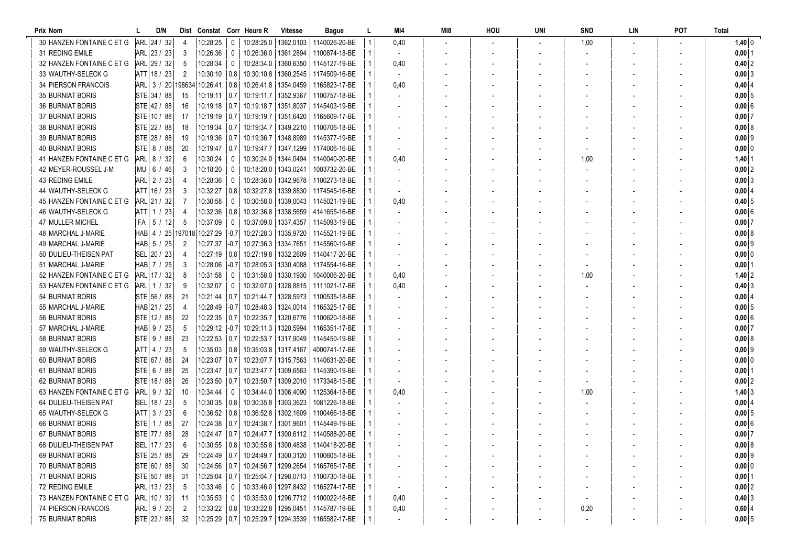| Prix Nom                   | D/N               | Dist            | Constat Corr Heure R |          |                        | <b>Vitesse</b>         | Bague                                                   | MI4                      | MI8 | hou | UNI | <b>SND</b> | LIN | POT | <b>Total</b>   |
|----------------------------|-------------------|-----------------|----------------------|----------|------------------------|------------------------|---------------------------------------------------------|--------------------------|-----|-----|-----|------------|-----|-----|----------------|
| 30 HANZEN FONTAINE C ET G  | ARL 24 / 32       |                 | 10:28:25             | $\theta$ |                        |                        | 10:28:25.0   1362.0103   1140026-20-BE                  | 0,40                     |     |     |     | 1,00       |     |     | $1,40$ 0       |
| 31 REDING EMILE            | ARL 23 / 23       | 3               | 10:26:36             | 0        |                        | 10:26:36.0   1361.2894 | 1100874-18-BE                                           | $\overline{\phantom{a}}$ |     |     |     |            |     |     | $0,00$ 1       |
| 32 HANZEN FONTAINE C ET G  | ARL 29 / 32       | 5               | 10:28:34             | 0        |                        |                        | 10:28:34,0   1360,6350   1145127-19-BE                  | 0,40                     |     |     |     |            |     |     | $0,40$ 2       |
| 33 WAUTHY-SELECK G         | ATT 18 / 23       | 2               | 10:30:10             | 0.8      |                        |                        | 10:30:10,8   1360,2545   1174509-16-BE                  | $\overline{\phantom{a}}$ |     |     |     |            |     |     | 0,003          |
| 34 PIERSON FRANCOIS        | ARL 3 / 20 198634 |                 | 10:26:41             | 0,8      |                        | 10:26:41,8   1354,0459 | 1165823-17-BE                                           | 0,40                     |     |     |     |            |     |     | $0,40$ 4       |
| <b>35 BURNIAT BORIS</b>    | STE 34 / 88       | 15              | 10:19:11             | 0.7      |                        | 10:19:11.7   1352,9367 | 1100757-18-BE                                           |                          |     |     |     |            |     |     | 0,0015         |
| <b>36 BURNIAT BORIS</b>    | STE 42 / 88       | 16              | 10:19:18             | 0,7      |                        | 10:19:18,7   1351,8037 | 1145403-19-BE                                           |                          |     |     |     |            |     |     | 0,006          |
| 37 BURNIAT BORIS           | STE 10 / 88       | 17              | 10:19:19             | 0,7      |                        |                        | 10:19:19.7   1351.6420   1165609-17-BE                  |                          |     |     |     |            |     |     | $0,00$ 7       |
| <b>38 BURNIAT BORIS</b>    | STE 22 / 88       | 18              | 10:19:34             | 0,7      |                        |                        | 10:19:34,7   1349,2210   1100706-18-BE                  |                          |     |     |     |            |     |     | 0,00 8         |
| 39 BURNIAT BORIS           | STE 28 / 88       | 19              | 10:19:36             | 0.7      |                        | 10:19:36,7   1348,8989 | 1145377-19-BE                                           |                          |     |     |     |            |     |     | $0,00$ 9       |
| <b>40 BURNIAT BORIS</b>    | STE 8 / 88        | 20              | 10:19:47             | 0.7      |                        |                        | 10:19:47,7   1347,1299   1174006-16-BE                  |                          |     |     |     |            |     |     | 0,00 0         |
| 41 HANZEN FONTAINE C ET G  | ARL 8 / 32        | 6               | 10:30:24             | 0        |                        |                        | 10:30:24.0   1344.0494   1140040-20-BE                  | 0,40                     |     |     |     | 1,00       |     |     | $1,40$ 1       |
| 42 MEYER-ROUSSEL J-M       | MU   6 / 46       | 3               | 10:18:20             | 0        |                        | 10:18:20.0   1343.0241 | 1003732-20-BE                                           |                          |     |     |     |            |     |     | $0,00$ 2       |
| 43 REDING EMILE            | ARL 2 / 23        |                 | 10:28:36             | 0        |                        |                        | 10:28:36,0   1342,9678   1100273-18-BE                  |                          |     |     |     |            |     |     | $0,00$ 3       |
| 44 WAUTHY-SELECK G         | ATT 16 / 23       | 3               | 10:32:27             | 0,8      |                        | 10:32:27,8   1339,8830 | 1174545-16-BE                                           |                          |     |     |     |            |     |     | 0,0014         |
| 45 HANZEN FONTAINE C ET G  | ARL 21 / 32       |                 | 10:30:58             | 0        |                        |                        | 10:30:58,0   1339,0043   1145021-19-BE                  | 0,40                     |     |     |     |            |     |     | $0,40$ 5       |
| 46 WAUTHY-SELECK G         | ATT  1 / 23       |                 | 10:32:36             | 0.8      |                        |                        | 10:32:36,8   1338,5659   4141655-16-BE                  |                          |     |     |     |            |     |     | $0,00$ 6       |
| 47 MULLER MICHEL           | $FA$   5 / 12     | 5               | 10:37:09             | 0        |                        | 10:37:09.0   1337.4357 | 1145093-19-BE                                           |                          |     |     |     |            |     |     | $0,00$ 7       |
| 48 MARCHAL J-MARIE         | HAB 4 / 25 197018 |                 | 10:27:29             | $-0.71$  |                        |                        | 10:27:28,3   1335,9720   1145521-19-BE                  |                          |     |     |     |            |     |     | 0,008          |
| 49 MARCHAL J-MARIE         | HAB 5 / 25        | 2               | 10:27:37             | $-0.7$   |                        |                        | 10:27:36.3   1334.7651   1145560-19-BE                  |                          |     |     |     |            |     |     | $0,00$ 9       |
| 50 DULIEU-THEISEN PAT      | SEL 20 / 23       | 4               | 10:27:19             | 0,8      |                        |                        | 10:27:19,8   1332,2609   1140417-20-BE                  |                          |     |     |     |            |     |     | $0,00$ 0       |
| 51 MARCHAL J-MARIE         | HABI 7 / 25       | 3               | 10:28:06             | -0.71    |                        |                        | 10:28:05.3   1330.4088   1174554-16-BE                  |                          |     |     |     |            |     |     | $0,00$   1     |
| 52 HANZEN FONTAINE C ET G  | ARL 17 / 32       | -8              | 10:31:58             | 0        |                        |                        | 10:31:58,0   1330,1930   1040006-20-BE                  | 0,40                     |     |     |     | 1,00       |     |     | $1,40$ 2       |
| 53 HANZEN FONTAINE C ET G  | ARL  1 / 32       | -9              | 10:32:07             | 0        |                        |                        | 10:32:07.0   1328.8815   1111021-17-BE                  | 0,40                     |     |     |     |            |     |     | $0,40$ 3       |
| <b>54 BURNIAT BORIS</b>    | STE 56 / 88       | 21              | 10:21:44             | 0.7      | 10:21:44,7             | 1328,5973              | 1100535-18-BE                                           |                          |     |     |     |            |     |     | 0,00   4       |
| 55 MARCHAL J-MARIE         | HAB 21 / 25       |                 | 10:28:49             | -0.7     |                        | 10:28:48,3   1324,0014 | 1165325-17-BE                                           |                          |     |     |     |            |     |     | 0,0015         |
| 56 BURNIAT BORIS           | STE 12 / 88       | 22              | 10:22:35             | 0.7      |                        | 10:22:35.7   1320.6776 | 1100620-18-BE                                           |                          |     |     |     |            |     |     | $0,00$ 6       |
| 57 MARCHAL J-MARIE         | HAB 9 / 25        | 5               | 10:29:12             | -0,7     |                        | 10:29:11,3   1320,5994 | 1165351-17-BE                                           |                          |     |     |     |            |     |     | $0,00$ 7       |
| 58 BURNIAT BORIS           | STE 9 / 88        | 23              | 10:22:53             | 0.7      |                        | 10:22:53,7   1317,9049 | 1145450-19-BE                                           |                          |     |     |     |            |     |     | 0,008          |
| 59 WAUTHY-SELECK G         | ATT 4 / 23        | 5               | 10:35:03             | 0,8      | 10:35:03,8   1317,4167 |                        | 4000741-17-BE                                           |                          |     |     |     |            |     |     | $0,00$ 9       |
| <b>60 BURNIAT BORIS</b>    | STE 67 / 88       | 24              | 10:23:07             | 0,7      |                        |                        | 10:23:07,7   1315,7563   1140631-20-BE                  |                          |     |     |     |            |     |     | $0,00$ 0       |
| <b>61 BURNIAT BORIS</b>    | STE  6 / 88       | 25              | 10:23:47             | 0,7      |                        |                        | 10:23:47,7   1309,6563   1145390-19-BE                  |                          |     |     |     |            |     |     | $0,00$  1      |
| <b>62 BURNIAT BORIS</b>    | STE 18 / 88       | 26              | 10:23:50             | 0,7      |                        | 10:23:50,7   1309,2010 | 1173348-15-BE                                           |                          |     |     |     |            |     |     | $0,00$   2     |
| 63 HANZEN FONTAINE C ET G  | ARL 9 / 32        | 10              | 10:34:44             | 0        |                        | 10:34:44,0   1306,4090 | 1125364-18-BE                                           | 0,40                     |     |     |     | 1,00       |     |     | $1,40$ 3       |
| 64 DULIEU-THEISEN PAT      | SEL 18 / 23       | 5               | 10:30:35             | 0,8      |                        | 10:30:35,8   1303,3623 | 1081226-18-BE                                           |                          |     |     |     |            |     |     | 0,00   4       |
| 65 WAUTHY-SELECK G         | ATT 3 / 23        | 6               | 10:36:52             | 0,8      |                        |                        | 10:36:52.8   1302,1609   1100466-18-BE                  |                          |     |     |     |            |     |     | $0,00$ 5       |
| <b>66 BURNIAT BORIS</b>    | STE 1 / 88        | 27              | 10:24:38             | 0.7      |                        |                        | 10:24:38,7   1301,9601   1145449-19-BE                  |                          |     |     |     |            |     |     | $0,00$ 6       |
| <b>67 BURNIAT BORIS</b>    | STE 77 / 88       | 28              |                      |          |                        |                        | 10:24:47   0,7   10:24:47,7   1300,6112   1140588-20-BE |                          |     |     |     |            |     |     | $0,00$ 7       |
| 68 DULIEU-THEISEN PAT      | SEL 17 / 23       | $6\overline{6}$ |                      |          |                        |                        | 10:30:55   0,8   10:30:55,8   1300,4838   1140418-20-BE |                          |     |     |     |            |     |     | $0,00 \vert 8$ |
| 69 BURNIAT BORIS           | STE 25 / 88       | 29              |                      |          |                        |                        | 10:24:49   0.7   10:24:49.7   1300.3120   1100605-18-BE |                          |     |     |     |            |     |     | $0,00$ 9       |
| 70 BURNIAT BORIS           | STE 60 / 88       | 30              |                      |          |                        |                        | 10:24:56   0,7   10:24:56,7   1299,2654   1165765-17-BE |                          |     |     |     |            |     |     | $0,00$ 0       |
| 71 BURNIAT BORIS           | STE 50 / 88       | -31             | 10:25:04             | 0,7      |                        |                        | 10:25:04,7   1298,0713   1100730-18-BE                  |                          |     |     |     |            |     |     | $0,00$ 1       |
| 72 REDING EMILE            | ARL 13 / 23       | -5              | 10:33:46             | 0        |                        |                        | 10:33:46,0   1297,8432   1165274-17-BE                  |                          |     |     |     |            |     |     | 0,00 2         |
| 73 HANZEN FONTAINE C ET G  | ARL 10 / 32       | -11             | 10:35:53             | $\theta$ |                        |                        | 10:35:53,0   1296,7712   1100022-18-BE                  | 0,40                     |     |     |     |            |     |     | $0,40$ 3       |
| <b>74 PIERSON FRANCOIS</b> | ARL 9 / 20        | 2               |                      |          |                        |                        | 10:33:22   0,8   10:33:22,8   1295,0451   1145787-19-BE | 0,40                     |     |     |     | 0,20       |     |     | $0,60$ 4       |
| 75 BURNIAT BORIS           | STE 23 / 88       | 32              | $10:25:29$ 0,7       |          |                        |                        | 10:25:29,7   1294,3539   1165582-17-BE                  |                          |     |     |     |            |     |     | 0,005          |